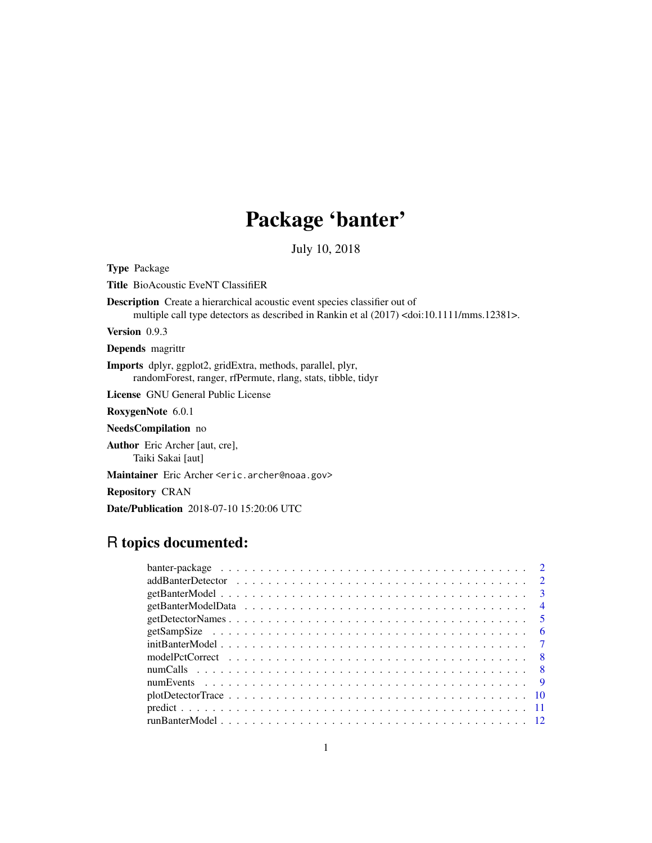## Package 'banter'

July 10, 2018

<span id="page-0-0"></span>Type Package

Title BioAcoustic EveNT ClassifiER

Description Create a hierarchical acoustic event species classifier out of multiple call type detectors as described in Rankin et al (2017) <doi:10.1111/mms.12381>.

Version 0.9.3

Depends magrittr

Imports dplyr, ggplot2, gridExtra, methods, parallel, plyr, randomForest, ranger, rfPermute, rlang, stats, tibble, tidyr

License GNU General Public License

RoxygenNote 6.0.1

NeedsCompilation no

Author Eric Archer [aut, cre], Taiki Sakai [aut]

Maintainer Eric Archer <eric.archer@noaa.gov>

Repository CRAN

Date/Publication 2018-07-10 15:20:06 UTC

## R topics documented: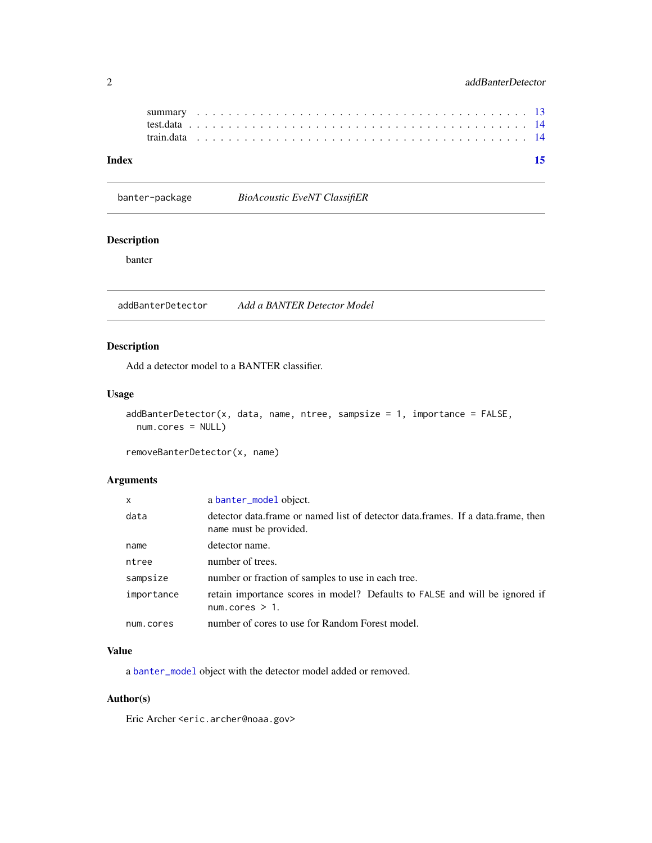<span id="page-1-0"></span>

## **Index** [15](#page-14-0)

banter-package *BioAcoustic EveNT ClassifiER*

## Description

banter

<span id="page-1-1"></span>addBanterDetector *Add a BANTER Detector Model*

## Description

Add a detector model to a BANTER classifier.

#### Usage

```
addBanterDetector(x, data, name, three, samplesize = 1, importance = FALSE,num.cores = NULL)
```

```
removeBanterDetector(x, name)
```
## Arguments

| $\mathsf{x}$ | a banter_model object.                                                                                     |
|--------------|------------------------------------------------------------------------------------------------------------|
| data         | detector data.frame or named list of detector data.frames. If a data.frame, then<br>name must be provided. |
| name         | detector name.                                                                                             |
| ntree        | number of trees.                                                                                           |
| sampsize     | number or fraction of samples to use in each tree.                                                         |
| importance   | retain importance scores in model? Defaults to FALSE and will be ignored if<br>num.coreS > 1.              |
| num.cores    | number of cores to use for Random Forest model.                                                            |

## Value

a [banter\\_model](#page-0-0) object with the detector model added or removed.

#### Author(s)

Eric Archer <eric.archer@noaa.gov>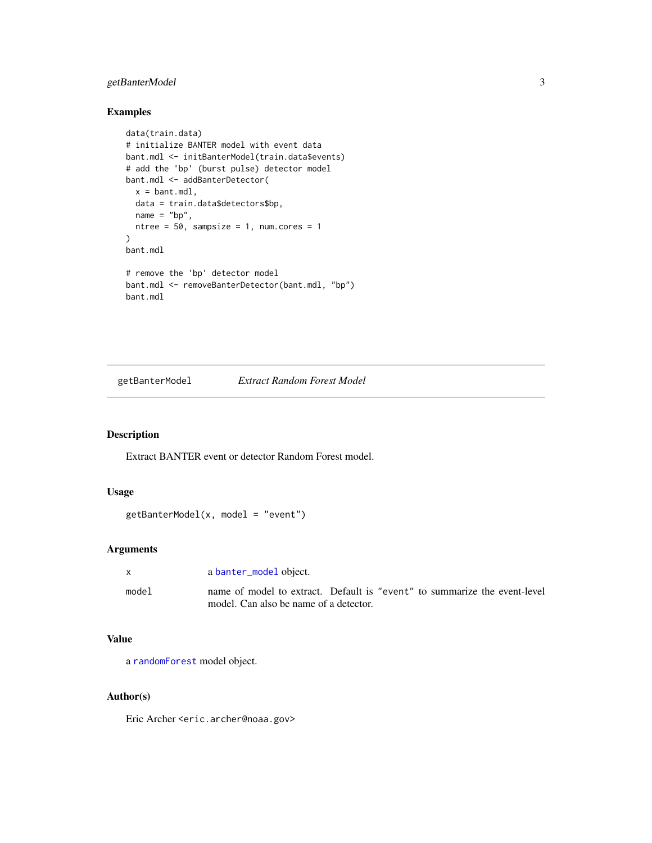## <span id="page-2-0"></span>getBanterModel 3

## Examples

```
data(train.data)
# initialize BANTER model with event data
bant.mdl <- initBanterModel(train.data$events)
# add the 'bp' (burst pulse) detector model
bant.mdl <- addBanterDetector(
  x = bant.mdl,
  data = train.data$detectors$bp,
 name = "bp",ntree = 50, sampsize = 1, num.cores = 1
\mathcal{L}bant.mdl
# remove the 'bp' detector model
bant.mdl <- removeBanterDetector(bant.mdl, "bp")
bant.mdl
```
getBanterModel *Extract Random Forest Model*

#### Description

Extract BANTER event or detector Random Forest model.

## Usage

```
getBanterModel(x, model = "event")
```
## Arguments

| X     | a banter_model object.                                                    |
|-------|---------------------------------------------------------------------------|
| model | name of model to extract. Default is "event" to summarize the event-level |
|       | model. Can also be name of a detector.                                    |

## Value

a [randomForest](#page-0-0) model object.

## Author(s)

Eric Archer <eric.archer@noaa.gov>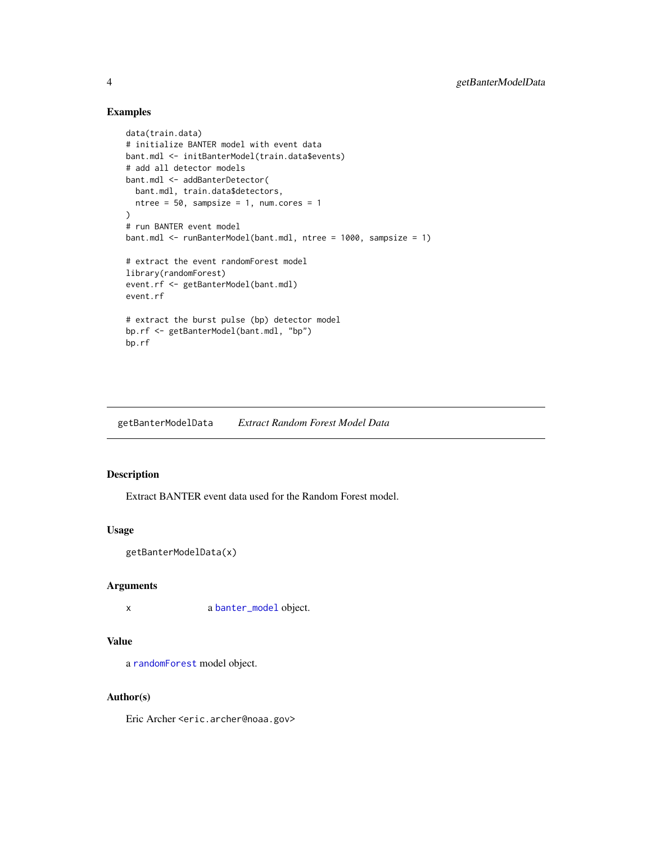## Examples

```
data(train.data)
# initialize BANTER model with event data
bant.mdl <- initBanterModel(train.data$events)
# add all detector models
bant.mdl <- addBanterDetector(
  bant.mdl, train.data$detectors,
 ntree = 50, sampsize = 1, num.cores = 1
)
# run BANTER event model
bant.mdl <- runBanterModel(bant.mdl, ntree = 1000, sampsize = 1)
# extract the event randomForest model
library(randomForest)
event.rf <- getBanterModel(bant.mdl)
event.rf
# extract the burst pulse (bp) detector model
bp.rf <- getBanterModel(bant.mdl, "bp")
bp.rf
```
getBanterModelData *Extract Random Forest Model Data*

## Description

Extract BANTER event data used for the Random Forest model.

#### Usage

```
getBanterModelData(x)
```
#### Arguments

x a [banter\\_model](#page-0-0) object.

#### Value

a [randomForest](#page-0-0) model object.

#### Author(s)

Eric Archer <eric.archer@noaa.gov>

<span id="page-3-0"></span>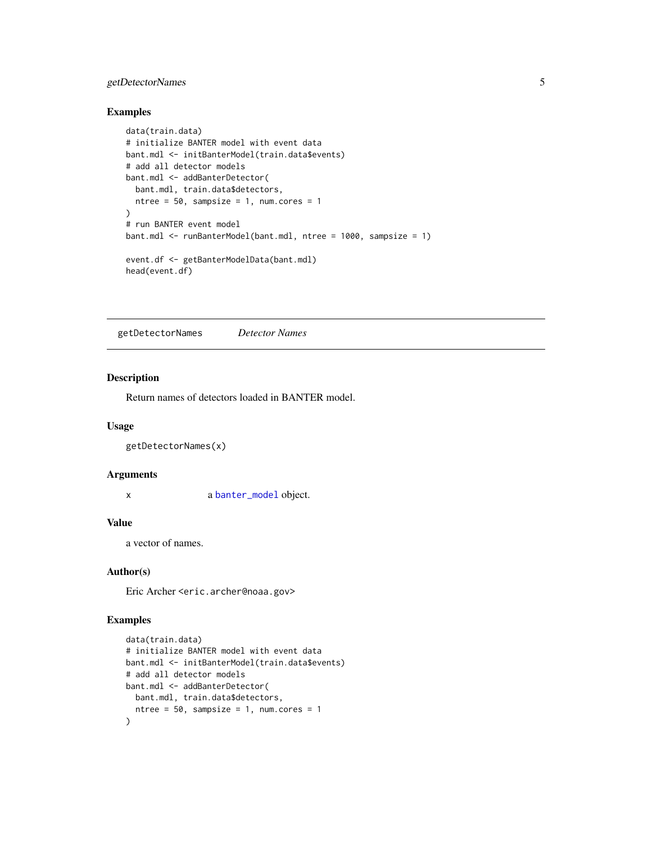## <span id="page-4-0"></span>getDetectorNames 5

### Examples

```
data(train.data)
# initialize BANTER model with event data
bant.mdl <- initBanterModel(train.data$events)
# add all detector models
bant.mdl <- addBanterDetector(
  bant.mdl, train.data$detectors,
  ntree = 50, sampsize = 1, num.cores = 1
\mathcal{L}# run BANTER event model
bant.mdl <- runBanterModel(bant.mdl, ntree = 1000, sampsize = 1)
event.df <- getBanterModelData(bant.mdl)
head(event.df)
```
getDetectorNames *Detector Names*

#### Description

Return names of detectors loaded in BANTER model.

#### Usage

getDetectorNames(x)

#### Arguments

x a [banter\\_model](#page-0-0) object.

#### Value

a vector of names.

#### Author(s)

Eric Archer <eric.archer@noaa.gov>

#### Examples

```
data(train.data)
# initialize BANTER model with event data
bant.mdl <- initBanterModel(train.data$events)
# add all detector models
bant.mdl <- addBanterDetector(
  bant.mdl, train.data$detectors,
  ntree = 50, sampsize = 1, num.cores = 1
)
```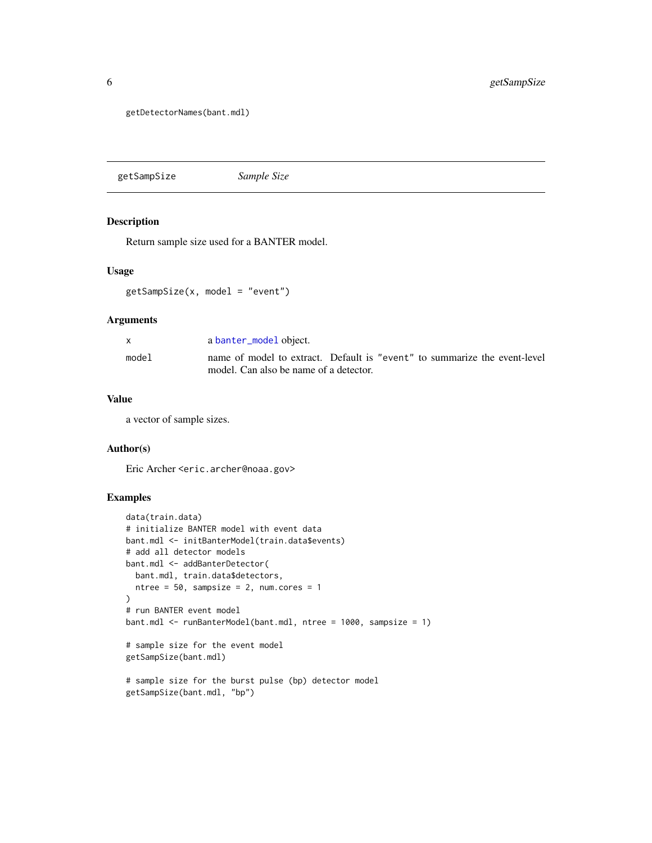<span id="page-5-0"></span>getDetectorNames(bant.mdl)

getSampSize *Sample Size*

#### Description

Return sample size used for a BANTER model.

#### Usage

getSampSize(x, model = "event")

#### Arguments

|       | a banter_model object.                                                    |
|-------|---------------------------------------------------------------------------|
| model | name of model to extract. Default is "event" to summarize the event-level |
|       | model. Can also be name of a detector.                                    |

#### Value

a vector of sample sizes.

#### Author(s)

Eric Archer <eric.archer@noaa.gov>

#### Examples

```
data(train.data)
# initialize BANTER model with event data
bant.mdl <- initBanterModel(train.data$events)
# add all detector models
bant.mdl <- addBanterDetector(
 bant.mdl, train.data$detectors,
  ntree = 50, sampsize = 2, num.cores = 1\mathcal{L}# run BANTER event model
bant.mdl <- runBanterModel(bant.mdl, ntree = 1000, sampsize = 1)
# sample size for the event model
getSampSize(bant.mdl)
# sample size for the burst pulse (bp) detector model
getSampSize(bant.mdl, "bp")
```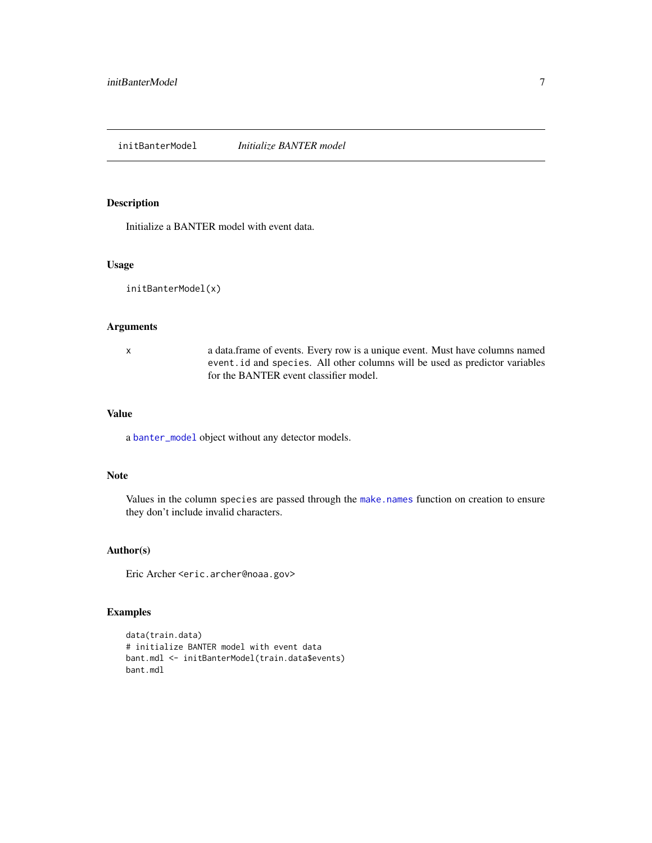<span id="page-6-1"></span><span id="page-6-0"></span>initBanterModel *Initialize BANTER model*

## Description

Initialize a BANTER model with event data.

#### Usage

initBanterModel(x)

## Arguments

x a data.frame of events. Every row is a unique event. Must have columns named event.id and species. All other columns will be used as predictor variables for the BANTER event classifier model.

#### Value

a [banter\\_model](#page-0-0) object without any detector models.

#### Note

Values in the column species are passed through the [make.names](#page-0-0) function on creation to ensure they don't include invalid characters.

#### Author(s)

Eric Archer <eric.archer@noaa.gov>

## Examples

```
data(train.data)
# initialize BANTER model with event data
bant.mdl <- initBanterModel(train.data$events)
bant.mdl
```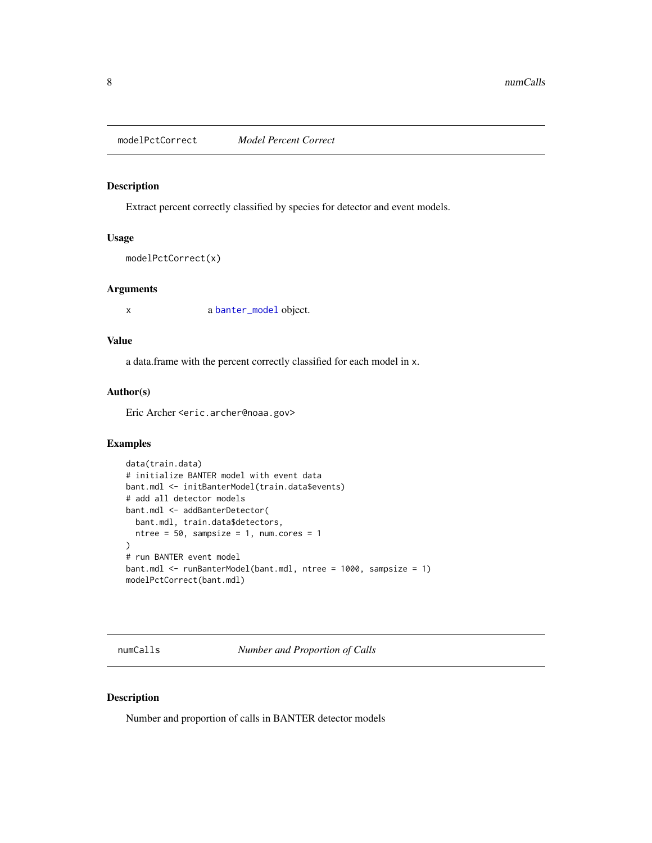<span id="page-7-0"></span>modelPctCorrect *Model Percent Correct*

## Description

Extract percent correctly classified by species for detector and event models.

#### Usage

```
modelPctCorrect(x)
```
#### Arguments

x a [banter\\_model](#page-0-0) object.

#### Value

a data.frame with the percent correctly classified for each model in x.

#### Author(s)

Eric Archer <eric.archer@noaa.gov>

#### Examples

```
data(train.data)
# initialize BANTER model with event data
bant.mdl <- initBanterModel(train.data$events)
# add all detector models
bant.mdl <- addBanterDetector(
  bant.mdl, train.data$detectors,
  ntree = 50, sampsize = 1, num.cores = 1
)
# run BANTER event model
bant.mdl <- runBanterModel(bant.mdl, ntree = 1000, sampsize = 1)
modelPctCorrect(bant.mdl)
```
numCalls *Number and Proportion of Calls*

## Description

Number and proportion of calls in BANTER detector models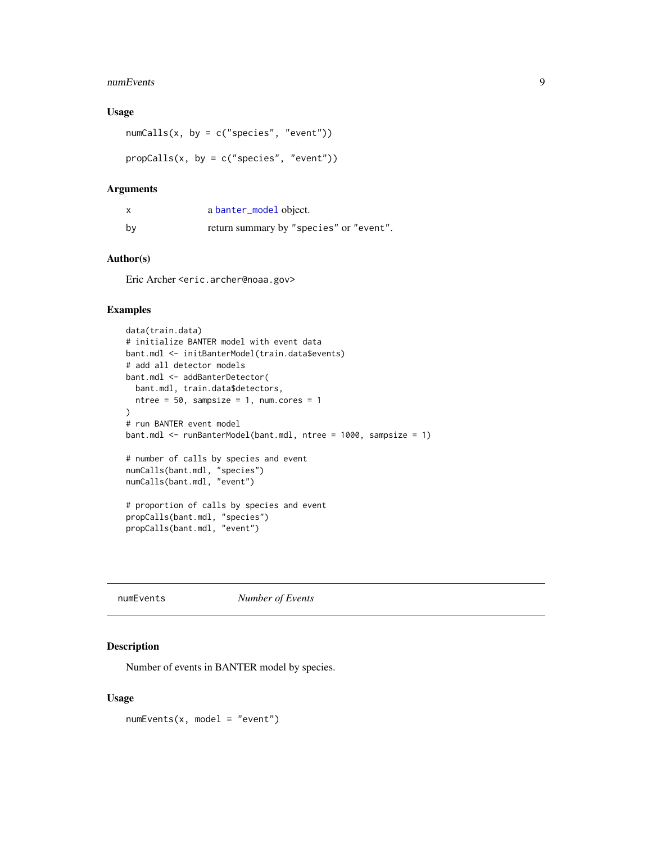#### <span id="page-8-0"></span>numEvents 9

#### Usage

```
numCalls(x, by = c("species", "event"))propCalls(x, by = c("species", "event"))
```
#### Arguments

| X  | a banter_model object.                  |
|----|-----------------------------------------|
| by | return summary by "species" or "event". |

## Author(s)

Eric Archer <eric.archer@noaa.gov>

## Examples

```
data(train.data)
# initialize BANTER model with event data
bant.mdl <- initBanterModel(train.data$events)
# add all detector models
bant.mdl <- addBanterDetector(
  bant.mdl, train.data$detectors,
 ntree = 50, sampsize = 1, num.cores = 1
)
# run BANTER event model
bant.mdl <- runBanterModel(bant.mdl, ntree = 1000, sampsize = 1)
# number of calls by species and event
numCalls(bant.mdl, "species")
numCalls(bant.mdl, "event")
# proportion of calls by species and event
propCalls(bant.mdl, "species")
propCalls(bant.mdl, "event")
```
numEvents *Number of Events*

#### Description

Number of events in BANTER model by species.

#### Usage

numEvents(x, model = "event")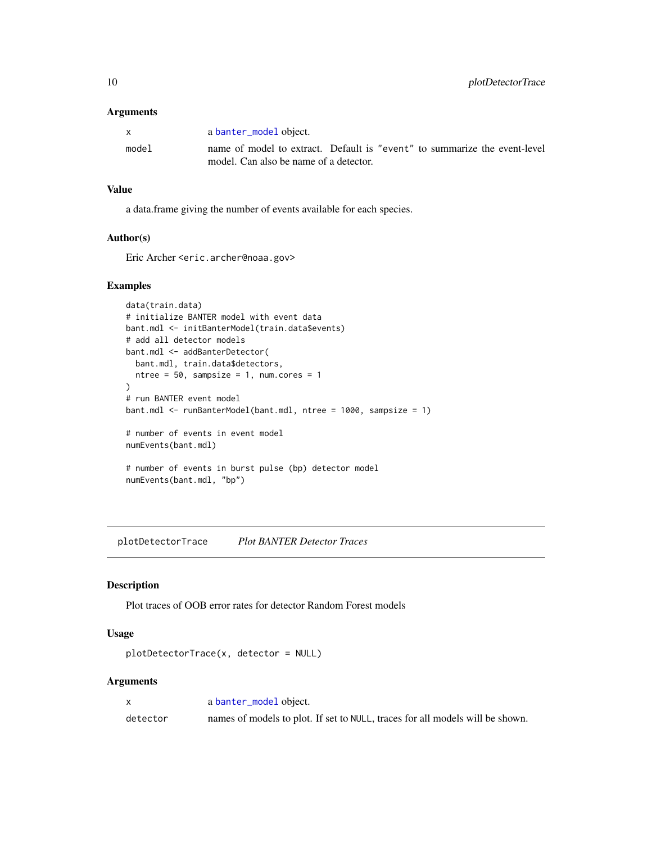#### <span id="page-9-0"></span>Arguments

| $\mathbf{x}$ | a banter_model object.                                                    |
|--------------|---------------------------------------------------------------------------|
| model        | name of model to extract. Default is "event" to summarize the event-level |
|              | model. Can also be name of a detector.                                    |

## Value

a data.frame giving the number of events available for each species.

#### Author(s)

Eric Archer <eric.archer@noaa.gov>

#### Examples

```
data(train.data)
# initialize BANTER model with event data
bant.mdl <- initBanterModel(train.data$events)
# add all detector models
bant.mdl <- addBanterDetector(
  bant.mdl, train.data$detectors,
  ntree = 50, sampsize = 1, num.cores = 1
\mathcal{L}# run BANTER event model
bant.mdl <- runBanterModel(bant.mdl, ntree = 1000, sampsize = 1)
# number of events in event model
numEvents(bant.mdl)
# number of events in burst pulse (bp) detector model
numEvents(bant.mdl, "bp")
```
plotDetectorTrace *Plot BANTER Detector Traces*

## Description

Plot traces of OOB error rates for detector Random Forest models

#### Usage

```
plotDetectorTrace(x, detector = NULL)
```
#### Arguments

| $\mathsf{X}$ | a banter_model object.                                                        |
|--------------|-------------------------------------------------------------------------------|
| detector     | names of models to plot. If set to NULL, traces for all models will be shown. |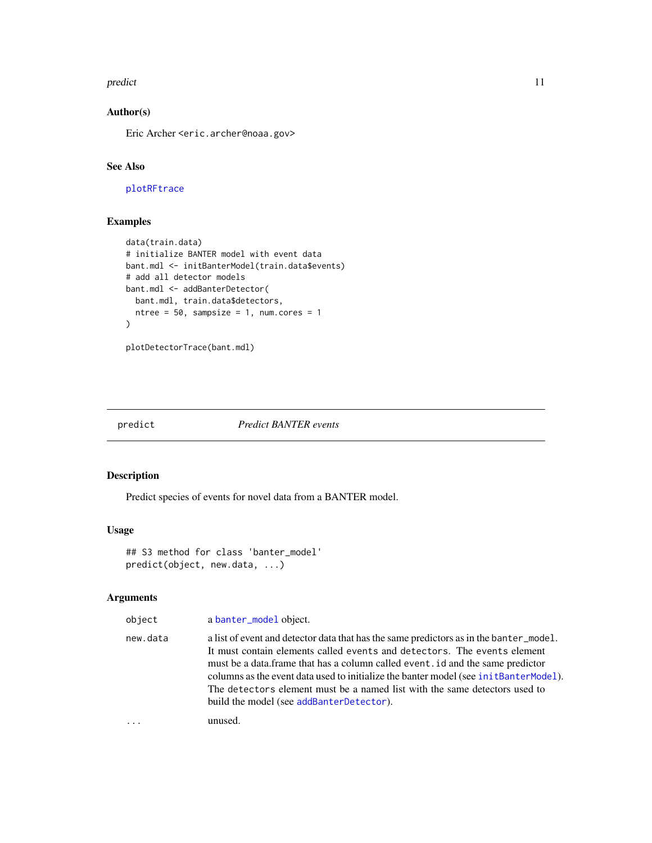#### <span id="page-10-0"></span>predict the contract of the contract of the contract of the contract of the contract of the contract of the contract of the contract of the contract of the contract of the contract of the contract of the contract of the co

## Author(s)

Eric Archer <eric.archer@noaa.gov>

## See Also

[plotRFtrace](#page-0-0)

## Examples

```
data(train.data)
# initialize BANTER model with event data
bant.mdl <- initBanterModel(train.data$events)
# add all detector models
bant.mdl <- addBanterDetector(
 bant.mdl, train.data$detectors,
 ntree = 50, sampsize = 1, num.cores = 1
\mathcal{L}
```

```
plotDetectorTrace(bant.mdl)
```
predict *Predict BANTER events*

## Description

Predict species of events for novel data from a BANTER model.

#### Usage

```
## S3 method for class 'banter_model'
predict(object, new.data, ...)
```
## Arguments

| object   | a banter_model object.                                                                                                                                                                                                                                                                                                                                                                                                                                                     |
|----------|----------------------------------------------------------------------------------------------------------------------------------------------------------------------------------------------------------------------------------------------------------------------------------------------------------------------------------------------------------------------------------------------------------------------------------------------------------------------------|
| new.data | a list of event and detector data that has the same predictors as in the banter_model.<br>It must contain elements called events and detectors. The events element<br>must be a data. frame that has a column called event . id and the same predictor<br>columns as the event data used to initialize the banter model (see init Banter Model).<br>The detectors element must be a named list with the same detectors used to<br>build the model (see addBanterDetector). |
| $\cdots$ | unused.                                                                                                                                                                                                                                                                                                                                                                                                                                                                    |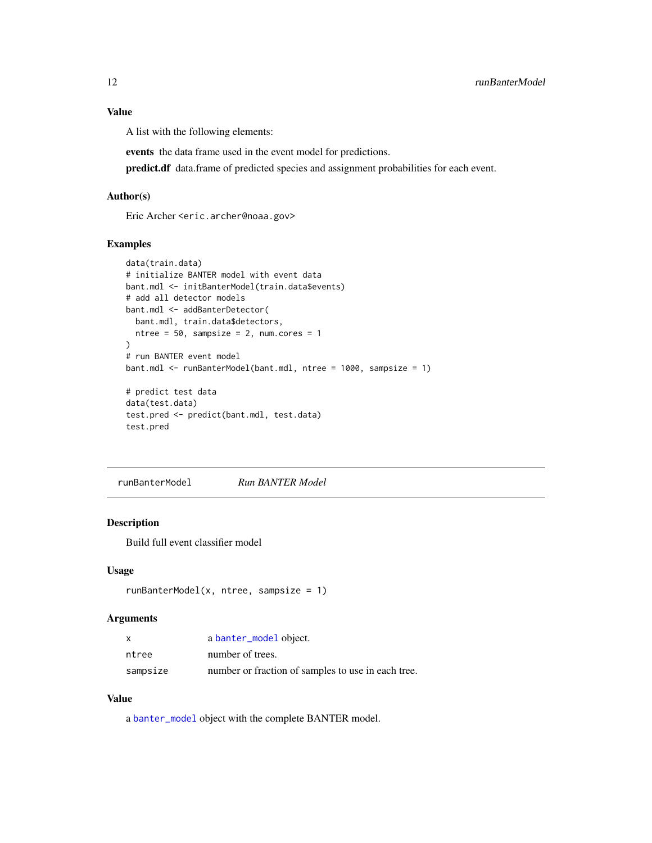#### Value

A list with the following elements:

events the data frame used in the event model for predictions.

predict.df data.frame of predicted species and assignment probabilities for each event.

#### Author(s)

Eric Archer <eric.archer@noaa.gov>

#### Examples

```
data(train.data)
# initialize BANTER model with event data
bant.mdl <- initBanterModel(train.data$events)
# add all detector models
bant.mdl <- addBanterDetector(
  bant.mdl, train.data$detectors,
  ntree = 50, sampsize = 2, num.cores = 1
)
# run BANTER event model
bant.mdl <- runBanterModel(bant.mdl, ntree = 1000, sampsize = 1)
# predict test data
data(test.data)
test.pred <- predict(bant.mdl, test.data)
test.pred
```
runBanterModel *Run BANTER Model*

#### Description

Build full event classifier model

#### Usage

```
runBanterModel(x, ntree, sampsize = 1)
```
#### Arguments

| x        | a banter_model object.                             |
|----------|----------------------------------------------------|
| ntree    | number of trees.                                   |
| sampsize | number or fraction of samples to use in each tree. |

#### Value

a [banter\\_model](#page-0-0) object with the complete BANTER model.

<span id="page-11-0"></span>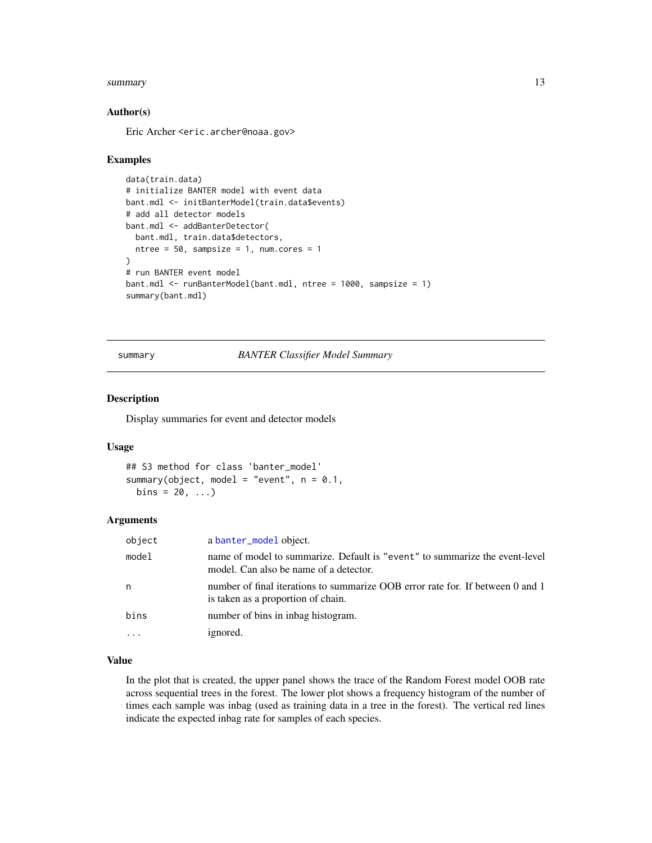#### <span id="page-12-0"></span>summary the contract of the contract of the contract of the contract of the contract of the contract of the contract of the contract of the contract of the contract of the contract of the contract of the contract of the co

#### Author(s)

Eric Archer <eric.archer@noaa.gov>

#### Examples

```
data(train.data)
# initialize BANTER model with event data
bant.mdl <- initBanterModel(train.data$events)
# add all detector models
bant.mdl <- addBanterDetector(
 bant.mdl, train.data$detectors,
  ntree = 50, sampsize = 1, num.cores = 1
)
# run BANTER event model
bant.mdl <- runBanterModel(bant.mdl, ntree = 1000, sampsize = 1)
summary(bant.mdl)
```
summary *BANTER Classifier Model Summary*

#### Description

Display summaries for event and detector models

#### Usage

```
## S3 method for class 'banter_model'
summary(object, model = "event", n = 0.1,
 bins = 20, ...
```
#### Arguments

| object  | a banter_model object.                                                                                                |
|---------|-----------------------------------------------------------------------------------------------------------------------|
| model   | name of model to summarize. Default is "event" to summarize the event-level<br>model. Can also be name of a detector. |
| n       | number of final iterations to summarize OOB error rate for. If between 0 and 1<br>is taken as a proportion of chain.  |
| bins    | number of bins in inbag histogram.                                                                                    |
| $\cdot$ | ignored.                                                                                                              |

#### Value

In the plot that is created, the upper panel shows the trace of the Random Forest model OOB rate across sequential trees in the forest. The lower plot shows a frequency histogram of the number of times each sample was inbag (used as training data in a tree in the forest). The vertical red lines indicate the expected inbag rate for samples of each species.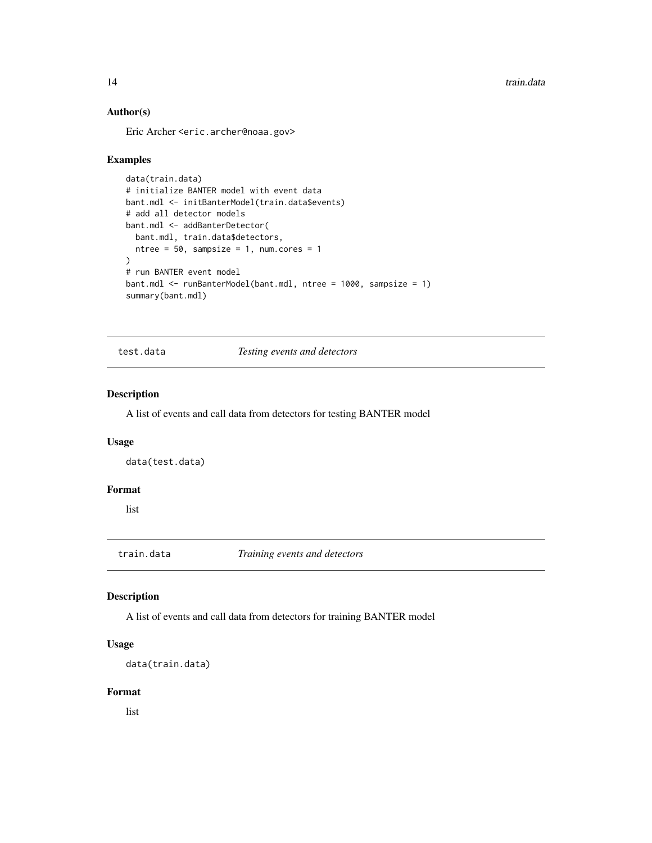<span id="page-13-0"></span>14 train.data

## Author(s)

Eric Archer <eric.archer@noaa.gov>

#### Examples

```
data(train.data)
# initialize BANTER model with event data
bant.mdl <- initBanterModel(train.data$events)
# add all detector models
bant.mdl <- addBanterDetector(
  bant.mdl, train.data$detectors,
  ntree = 50, sampsize = 1, num.cores = 1
)
# run BANTER event model
bant.mdl <- runBanterModel(bant.mdl, ntree = 1000, sampsize = 1)
summary(bant.mdl)
```
test.data *Testing events and detectors*

#### Description

A list of events and call data from detectors for testing BANTER model

#### Usage

data(test.data)

#### Format

list

train.data *Training events and detectors*

## Description

A list of events and call data from detectors for training BANTER model

## Usage

```
data(train.data)
```
#### Format

list